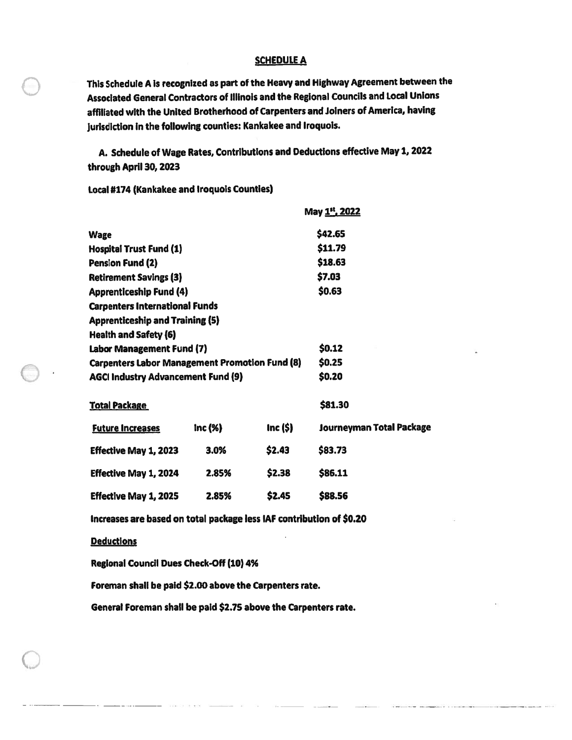## **SCHEDULE A**

This Schedule A is recognized as part of the Heavy and Highway Agreement between the<br>Associated General Contractors of Illinois and the Regional Councils and Local Unions affiliated with the United Brotherhood of Carpenters and Joiners of America, having jurisdiction in the following counties: Kankakee and Iroquois.

A. Schedule of Wage Rates, Contributions and Deductions effective May 1, 2022 through April 30, 2023

Local #174 (Kankakee and Iroquois Counties)

|                                                       |        | May 1 <sup>st</sup> , 2022 |                          |  |
|-------------------------------------------------------|--------|----------------------------|--------------------------|--|
| <b>Wage</b>                                           |        |                            | \$42.65                  |  |
| <b>Hospital Trust Fund (1)</b>                        |        |                            | \$11.79                  |  |
| <b>Pension Fund (2)</b>                               |        |                            | \$18.63                  |  |
| <b>Retirement Savings (3)</b>                         |        |                            | \$7.03                   |  |
| <b>Apprenticeship Fund (4)</b>                        |        |                            | \$0.63                   |  |
| <b>Carpenters International Funds</b>                 |        |                            |                          |  |
| <b>Apprenticeship and Training (5)</b>                |        |                            |                          |  |
| <b>Health and Safety (6)</b>                          |        |                            |                          |  |
| Labor Management Fund (7)                             |        |                            | \$0.12                   |  |
| <b>Carpenters Labor Management Promotion Fund (8)</b> |        |                            | \$0.25                   |  |
| <b>AGCI Industry Advancement Fund (9)</b>             |        |                            | \$0.20                   |  |
| <b>Total Package</b>                                  |        |                            | \$81.30                  |  |
| <b>Future Increases</b>                               | Inc(%) | Inc $(S)$                  | Journeyman Total Package |  |
| <b>Effective May 1, 2023</b>                          | 3.0%   | \$2.43                     | \$83.73                  |  |
| Effective May 1, 2024                                 | 2.85%  | \$2.38                     | \$86.11                  |  |
| <b>Effective May 1, 2025</b>                          | 2.85%  | \$2.45                     | \$88.56                  |  |

Increases are based on total package less IAF contribution of \$0.20

## **Deductions**

Regional Council Dues Check-Off (10)4%

Foreman shall be paid \$2.00 above the Carpenters rate.

General Foreman shall be paid \$2.75 above the Carpenters rate.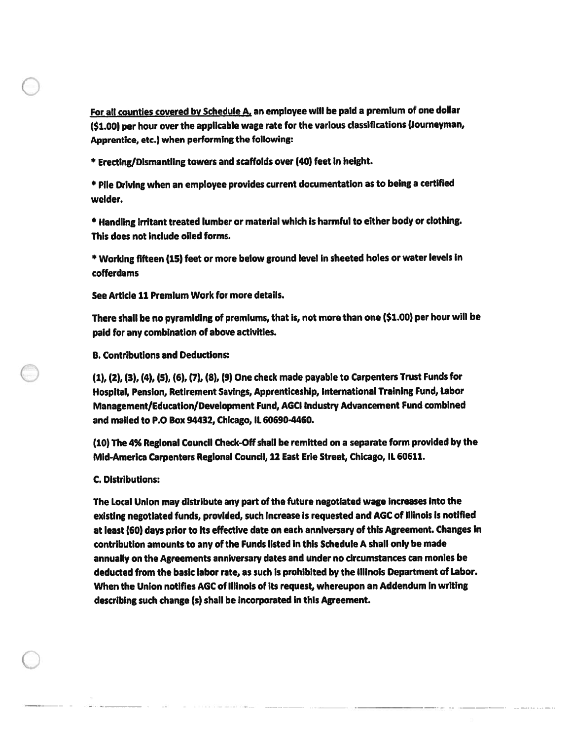For all counties covered by Schedule A, an employee will be paid a premium of one dollar (\$1.00) per hour over the applicable wage rate for the various classifications (Journeyman, Apprentice, etc.) when performing the following:

\* Erecting/DismantlIng towers and scaffolds over (40) feet In height.

\* Pile Driving when an employee provides current documentation as to being <sup>a</sup> certified welder.

\* Handling Irritant treated lumber or material which is harmful to either body or clothing. This does not include oiled forms.

\* Working fifteen (15) feet or more below groun<sup>d</sup> level in sheeted holes or water levels in cofferdams

See Article 11 PremIum Work for more details.

There shall be no pyramiding of premiums, that is, not more than one (\$1.00) per hour will be paid for any combination of above activities.

B. Contributions and Deductions:

(1), (2), (3), (4), (5), (6), (7), (8), (9) One check made payable to Carpenters Trust Funds for Hospital, Pension, Retirement Savings, Apprenticeship, International Training Fund, Labor Management/Education/Development Fund, AGO Industry Advancement Fund combined and mailed to P.O Box 94432, ChIcago, IL 606904460.

(10) The 4% Regional Council Check-Off shall be remitted on <sup>a</sup> separate form provided by the Mid-America Carpenters Regional Council, <sup>12</sup> East Erie Street, Chicago, IL 60611.

## C. Distributions:

The Local Union may distribute any par<sup>t</sup> of the future negotiated wage increases Into the exIsting negotiated funds, provided, such Increase Is requested and AGC of Illinois Is notified at least (60) days prior to its effective date on each anniversary of this Agreement. Changes In contribution amounts to any of the Funds listed In this Schedule <sup>A</sup> shall only be made annually on the Agreements anniversary dates and under no circumstances can monies be deducted from the basic labor rate, as such is prohibited by the Illinois Department of Labor. When the Union notifies AGC of Illinois of its request, whereupon an Addendum In writing describing such change (s) shall be incorporated in this Agreement.